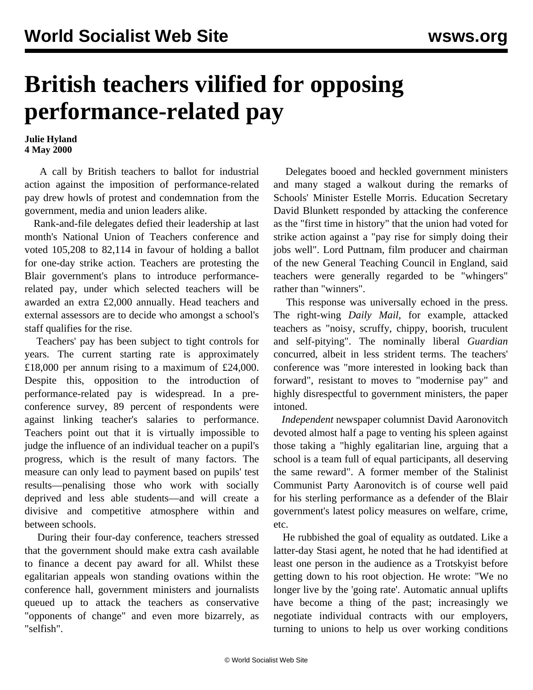## **British teachers vilified for opposing performance-related pay**

**Julie Hyland 4 May 2000**

 A call by British teachers to ballot for industrial action against the imposition of performance-related pay drew howls of protest and condemnation from the government, media and union leaders alike.

 Rank-and-file delegates defied their leadership at last month's National Union of Teachers conference and voted 105,208 to 82,114 in favour of holding a ballot for one-day strike action. Teachers are protesting the Blair government's plans to introduce performancerelated pay, under which selected teachers will be awarded an extra £2,000 annually. Head teachers and external assessors are to decide who amongst a school's staff qualifies for the rise.

 Teachers' pay has been subject to tight controls for years. The current starting rate is approximately £18,000 per annum rising to a maximum of £24,000. Despite this, opposition to the introduction of performance-related pay is widespread. In a preconference survey, 89 percent of respondents were against linking teacher's salaries to performance. Teachers point out that it is virtually impossible to judge the influence of an individual teacher on a pupil's progress, which is the result of many factors. The measure can only lead to payment based on pupils' test results—penalising those who work with socially deprived and less able students—and will create a divisive and competitive atmosphere within and between schools.

 During their four-day conference, teachers stressed that the government should make extra cash available to finance a decent pay award for all. Whilst these egalitarian appeals won standing ovations within the conference hall, government ministers and journalists queued up to attack the teachers as conservative "opponents of change" and even more bizarrely, as "selfish".

 Delegates booed and heckled government ministers and many staged a walkout during the remarks of Schools' Minister Estelle Morris. Education Secretary David Blunkett responded by attacking the conference as the "first time in history" that the union had voted for strike action against a "pay rise for simply doing their jobs well". Lord Puttnam, film producer and chairman of the new General Teaching Council in England, said teachers were generally regarded to be "whingers" rather than "winners".

 This response was universally echoed in the press. The right-wing *Daily Mail*, for example, attacked teachers as "noisy, scruffy, chippy, boorish, truculent and self-pitying". The nominally liberal *Guardian* concurred, albeit in less strident terms. The teachers' conference was "more interested in looking back than forward", resistant to moves to "modernise pay" and highly disrespectful to government ministers, the paper intoned.

 *Independent* newspaper columnist David Aaronovitch devoted almost half a page to venting his spleen against those taking a "highly egalitarian line, arguing that a school is a team full of equal participants, all deserving the same reward". A former member of the Stalinist Communist Party Aaronovitch is of course well paid for his sterling performance as a defender of the Blair government's latest policy measures on welfare, crime, etc.

 He rubbished the goal of equality as outdated. Like a latter-day Stasi agent, he noted that he had identified at least one person in the audience as a Trotskyist before getting down to his root objection. He wrote: "We no longer live by the 'going rate'. Automatic annual uplifts have become a thing of the past; increasingly we negotiate individual contracts with our employers, turning to unions to help us over working conditions